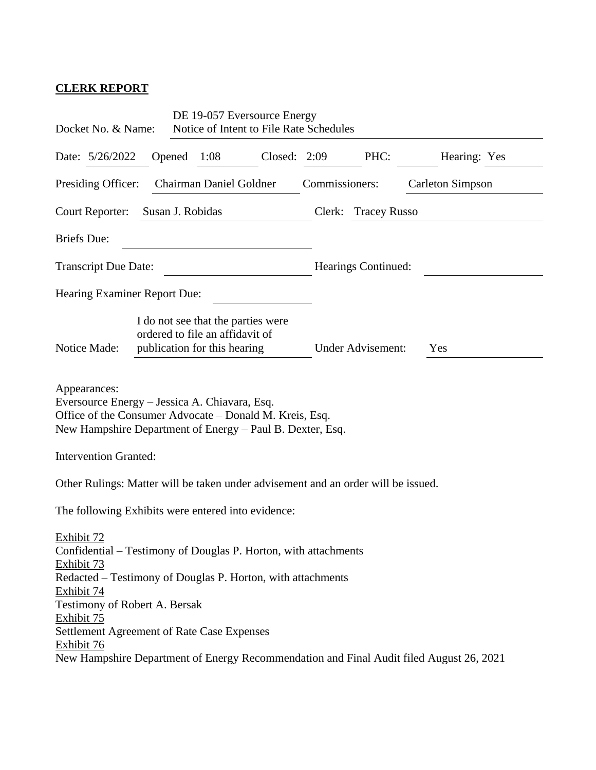## **CLERK REPORT**

| Docket No. & Name:                                                                                                                                                                                                                                                                  |        | DE 19-057 Eversource Energy<br>Notice of Intent to File Rate Schedules                                |         |                     |                     |                         |              |  |
|-------------------------------------------------------------------------------------------------------------------------------------------------------------------------------------------------------------------------------------------------------------------------------------|--------|-------------------------------------------------------------------------------------------------------|---------|---------------------|---------------------|-------------------------|--------------|--|
| Date: 5/26/2022                                                                                                                                                                                                                                                                     | Opened | 1:08                                                                                                  | Closed: | 2:09                | PHC:                |                         | Hearing: Yes |  |
| Chairman Daniel Goldner<br>Presiding Officer:                                                                                                                                                                                                                                       |        |                                                                                                       |         | Commissioners:      |                     | <b>Carleton Simpson</b> |              |  |
| Court Reporter:<br>Susan J. Robidas                                                                                                                                                                                                                                                 |        |                                                                                                       |         |                     | Clerk: Tracey Russo |                         |              |  |
| <b>Briefs</b> Due:                                                                                                                                                                                                                                                                  |        |                                                                                                       |         |                     |                     |                         |              |  |
| <b>Transcript Due Date:</b>                                                                                                                                                                                                                                                         |        |                                                                                                       |         | Hearings Continued: |                     |                         |              |  |
| Hearing Examiner Report Due:                                                                                                                                                                                                                                                        |        |                                                                                                       |         |                     |                     |                         |              |  |
| Notice Made:                                                                                                                                                                                                                                                                        |        | I do not see that the parties were<br>ordered to file an affidavit of<br>publication for this hearing |         |                     | Under Advisement:   | Yes                     |              |  |
| Appearances:<br>Eversource Energy - Jessica A. Chiavara, Esq.<br>Office of the Consumer Advocate – Donald M. Kreis, Esq.<br>New Hampshire Department of Energy – Paul B. Dexter, Esq.                                                                                               |        |                                                                                                       |         |                     |                     |                         |              |  |
| <b>Intervention Granted:</b>                                                                                                                                                                                                                                                        |        |                                                                                                       |         |                     |                     |                         |              |  |
| Other Rulings: Matter will be taken under advisement and an order will be issued.                                                                                                                                                                                                   |        |                                                                                                       |         |                     |                     |                         |              |  |
| The following Exhibits were entered into evidence:                                                                                                                                                                                                                                  |        |                                                                                                       |         |                     |                     |                         |              |  |
| Exhibit 72<br>Confidential – Testimony of Douglas P. Horton, with attachments<br>Exhibit 73<br>Redacted – Testimony of Douglas P. Horton, with attachments<br>Exhibit 74<br>Testimony of Robert A. Bersak<br>Exhibit 75<br>Settlement Agreement of Rate Case Expenses<br>Exhibit 76 |        |                                                                                                       |         |                     |                     |                         |              |  |
| New Hampshire Department of Energy Recommendation and Final Audit filed August 26, 2021                                                                                                                                                                                             |        |                                                                                                       |         |                     |                     |                         |              |  |